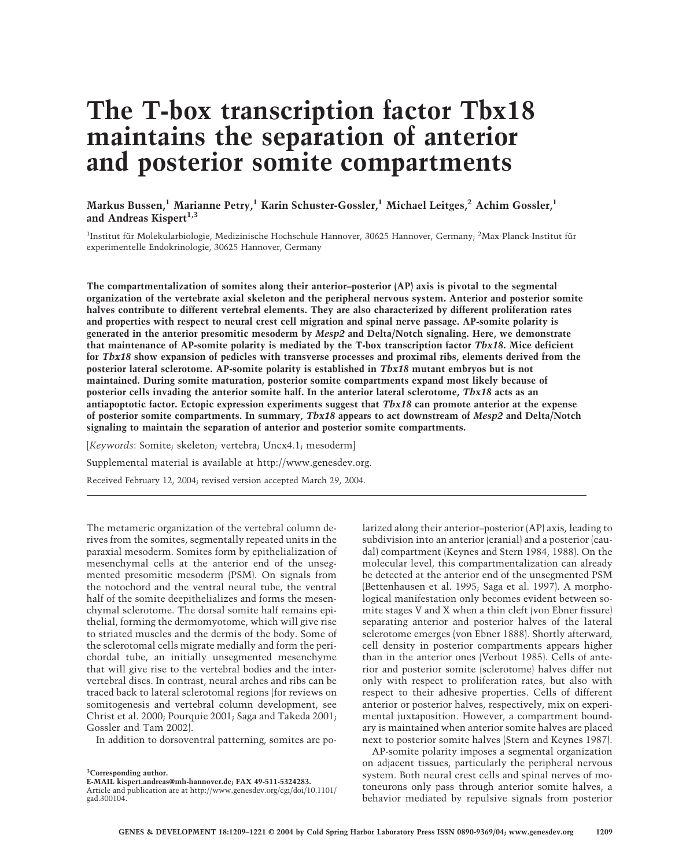# **The T-box transcription factor Tbx18 maintains the separation of anterior and posterior somite compartments**

**Markus Bussen,1 Marianne Petry,1 Karin Schuster-Gossler,1 Michael Leitges,<sup>2</sup> Achim Gossler,1** and Andreas Kispert<sup>1,3</sup>

<sup>1</sup>Institut für Molekularbiologie, Medizinische Hochschule Hannover, 30625 Hannover, Germany; <sup>2</sup>Max-Planck-Institut für experimentelle Endokrinologie, 30625 Hannover, Germany

**The compartmentalization of somites along their anterior–posterior (AP) axis is pivotal to the segmental organization of the vertebrate axial skeleton and the peripheral nervous system. Anterior and posterior somite halves contribute to different vertebral elements. They are also characterized by different proliferation rates and properties with respect to neural crest cell migration and spinal nerve passage. AP-somite polarity is generated in the anterior presomitic mesoderm by** *Mesp2* **and Delta/Notch signaling. Here, we demonstrate that maintenance of AP-somite polarity is mediated by the T-box transcription factor** *Tbx18***. Mice deficient for** *Tbx18* **show expansion of pedicles with transverse processes and proximal ribs, elements derived from the posterior lateral sclerotome. AP-somite polarity is established in** *Tbx18* **mutant embryos but is not maintained. During somite maturation, posterior somite compartments expand most likely because of posterior cells invading the anterior somite half. In the anterior lateral sclerotome,** *Tbx18* **acts as an antiapoptotic factor. Ectopic expression experiments suggest that** *Tbx18* **can promote anterior at the expense of posterior somite compartments. In summary,** *Tbx18* **appears to act downstream of** *Mesp2* **and Delta/Notch signaling to maintain the separation of anterior and posterior somite compartments.**

[*Keywords*: Somite; skeleton; vertebra; Uncx4.1; mesoderm]

Supplemental material is available at http://www.genesdev.org.

Received February 12, 2004; revised version accepted March 29, 2004.

The metameric organization of the vertebral column derives from the somites, segmentally repeated units in the paraxial mesoderm. Somites form by epithelialization of mesenchymal cells at the anterior end of the unsegmented presomitic mesoderm (PSM). On signals from the notochord and the ventral neural tube, the ventral half of the somite deepithelializes and forms the mesenchymal sclerotome. The dorsal somite half remains epithelial, forming the dermomyotome, which will give rise to striated muscles and the dermis of the body. Some of the sclerotomal cells migrate medially and form the perichordal tube, an initially unsegmented mesenchyme that will give rise to the vertebral bodies and the intervertebral discs. In contrast, neural arches and ribs can be traced back to lateral sclerotomal regions (for reviews on somitogenesis and vertebral column development, see Christ et al. 2000; Pourquie 2001; Saga and Takeda 2001; Gossler and Tam 2002).

In addition to dorsoventral patterning, somites are po-

larized along their anterior–posterior (AP) axis, leading to subdivision into an anterior (cranial) and a posterior (caudal) compartment (Keynes and Stern 1984, 1988). On the molecular level, this compartmentalization can already be detected at the anterior end of the unsegmented PSM (Bettenhausen et al. 1995; Saga et al. 1997). A morphological manifestation only becomes evident between somite stages V and X when a thin cleft (von Ebner fissure) separating anterior and posterior halves of the lateral sclerotome emerges (von Ebner 1888). Shortly afterward, cell density in posterior compartments appears higher than in the anterior ones (Verbout 1985). Cells of anterior and posterior somite (sclerotome) halves differ not only with respect to proliferation rates, but also with respect to their adhesive properties. Cells of different anterior or posterior halves, respectively, mix on experimental juxtaposition. However, a compartment boundary is maintained when anterior somite halves are placed next to posterior somite halves (Stern and Keynes 1987).

AP-somite polarity imposes a segmental organization on adjacent tissues, particularly the peripheral nervous system. Both neural crest cells and spinal nerves of motoneurons only pass through anterior somite halves, a behavior mediated by repulsive signals from posterior

**<sup>3</sup> Corresponding author.**

**E-MAIL kispert.andreas@mh-hannover.de; FAX 49-511-5324283.**

Article and publication are at http://www.genesdev.org/cgi/doi/10.1101/ gad.300104.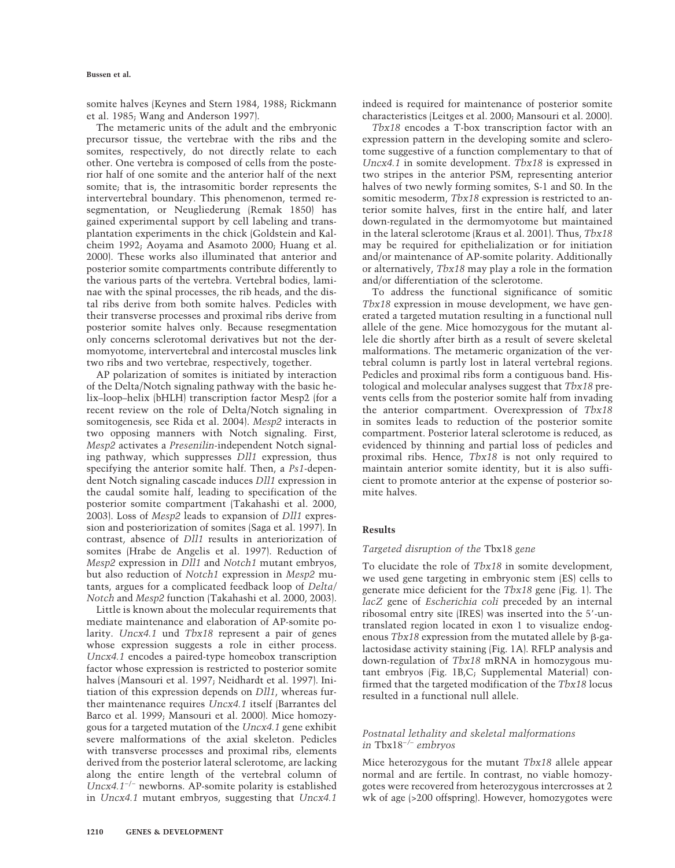somite halves (Keynes and Stern 1984, 1988; Rickmann et al. 1985; Wang and Anderson 1997).

The metameric units of the adult and the embryonic precursor tissue, the vertebrae with the ribs and the somites, respectively, do not directly relate to each other. One vertebra is composed of cells from the posterior half of one somite and the anterior half of the next somite; that is, the intrasomitic border represents the intervertebral boundary. This phenomenon, termed resegmentation, or Neugliederung (Remak 1850) has gained experimental support by cell labeling and transplantation experiments in the chick (Goldstein and Kalcheim 1992; Aoyama and Asamoto 2000; Huang et al. 2000). These works also illuminated that anterior and posterior somite compartments contribute differently to the various parts of the vertebra. Vertebral bodies, laminae with the spinal processes, the rib heads, and the distal ribs derive from both somite halves. Pedicles with their transverse processes and proximal ribs derive from posterior somite halves only. Because resegmentation only concerns sclerotomal derivatives but not the dermomyotome, intervertebral and intercostal muscles link two ribs and two vertebrae, respectively, together.

AP polarization of somites is initiated by interaction of the Delta/Notch signaling pathway with the basic helix–loop–helix (bHLH) transcription factor Mesp2 (for a recent review on the role of Delta/Notch signaling in somitogenesis, see Rida et al. 2004). *Mesp2* interacts in two opposing manners with Notch signaling. First, *Mesp2* activates a *Presenilin*-independent Notch signaling pathway, which suppresses *Dll1* expression, thus specifying the anterior somite half. Then, a *Ps1*-dependent Notch signaling cascade induces *Dll1* expression in the caudal somite half, leading to specification of the posterior somite compartment (Takahashi et al. 2000, 2003). Loss of *Mesp2* leads to expansion of *Dll1* expression and posteriorization of somites (Saga et al. 1997). In contrast, absence of *Dll1* results in anteriorization of somites (Hrabe de Angelis et al. 1997). Reduction of *Mesp2* expression in *Dll1* and *Notch1* mutant embryos, but also reduction of *Notch1* expression in *Mesp2* mutants, argues for a complicated feedback loop of *Delta/ Notch* and *Mesp2* function (Takahashi et al. 2000, 2003).

Little is known about the molecular requirements that mediate maintenance and elaboration of AP-somite polarity. *Uncx4.1* und *Tbx18* represent a pair of genes whose expression suggests a role in either process. *Uncx4.1* encodes a paired-type homeobox transcription factor whose expression is restricted to posterior somite halves (Mansouri et al. 1997; Neidhardt et al. 1997). Initiation of this expression depends on *Dll1*, whereas further maintenance requires *Uncx4.1* itself (Barrantes del Barco et al. 1999; Mansouri et al. 2000). Mice homozygous for a targeted mutation of the *Uncx4.1* gene exhibit severe malformations of the axial skeleton. Pedicles with transverse processes and proximal ribs, elements derived from the posterior lateral sclerotome, are lacking along the entire length of the vertebral column of *Uncx4.1*−/− newborns. AP-somite polarity is established in *Uncx4.1* mutant embryos, suggesting that *Uncx4.1*

indeed is required for maintenance of posterior somite characteristics (Leitges et al. 2000; Mansouri et al. 2000).

*Tbx18* encodes a T-box transcription factor with an expression pattern in the developing somite and sclerotome suggestive of a function complementary to that of *Uncx4.1* in somite development. *Tbx18* is expressed in two stripes in the anterior PSM, representing anterior halves of two newly forming somites, S-1 and S0. In the somitic mesoderm, *Tbx18* expression is restricted to anterior somite halves, first in the entire half, and later down-regulated in the dermomyotome but maintained in the lateral sclerotome (Kraus et al. 2001). Thus, *Tbx18* may be required for epithelialization or for initiation and/or maintenance of AP-somite polarity. Additionally or alternatively, *Tbx18* may play a role in the formation and/or differentiation of the sclerotome.

To address the functional significance of somitic *Tbx18* expression in mouse development, we have generated a targeted mutation resulting in a functional null allele of the gene. Mice homozygous for the mutant allele die shortly after birth as a result of severe skeletal malformations. The metameric organization of the vertebral column is partly lost in lateral vertebral regions. Pedicles and proximal ribs form a contiguous band. Histological and molecular analyses suggest that *Tbx18* prevents cells from the posterior somite half from invading the anterior compartment. Overexpression of *Tbx18* in somites leads to reduction of the posterior somite compartment. Posterior lateral sclerotome is reduced, as evidenced by thinning and partial loss of pedicles and proximal ribs. Hence, *Tbx18* is not only required to maintain anterior somite identity, but it is also sufficient to promote anterior at the expense of posterior somite halves.

## **Results**

## *Targeted disruption of the* Tbx18 *gene*

To elucidate the role of *Tbx18* in somite development, we used gene targeting in embryonic stem (ES) cells to generate mice deficient for the *Tbx18* gene (Fig. 1). The *lacZ* gene of *Escherichia coli* preceded by an internal ribosomal entry site (IRES) was inserted into the 5-untranslated region located in exon 1 to visualize endogenous *Tbx18* expression from the mutated allele by  $\beta$ -galactosidase activity staining (Fig. 1A). RFLP analysis and down-regulation of *Tbx18* mRNA in homozygous mutant embryos (Fig. 1B,C; Supplemental Material) confirmed that the targeted modification of the *Tbx18* locus resulted in a functional null allele.

## *Postnatal lethality and skeletal malformations in* Tbx18*−/− embryos*

Mice heterozygous for the mutant *Tbx18* allele appear normal and are fertile. In contrast, no viable homozygotes were recovered from heterozygous intercrosses at 2 wk of age (>200 offspring). However, homozygotes were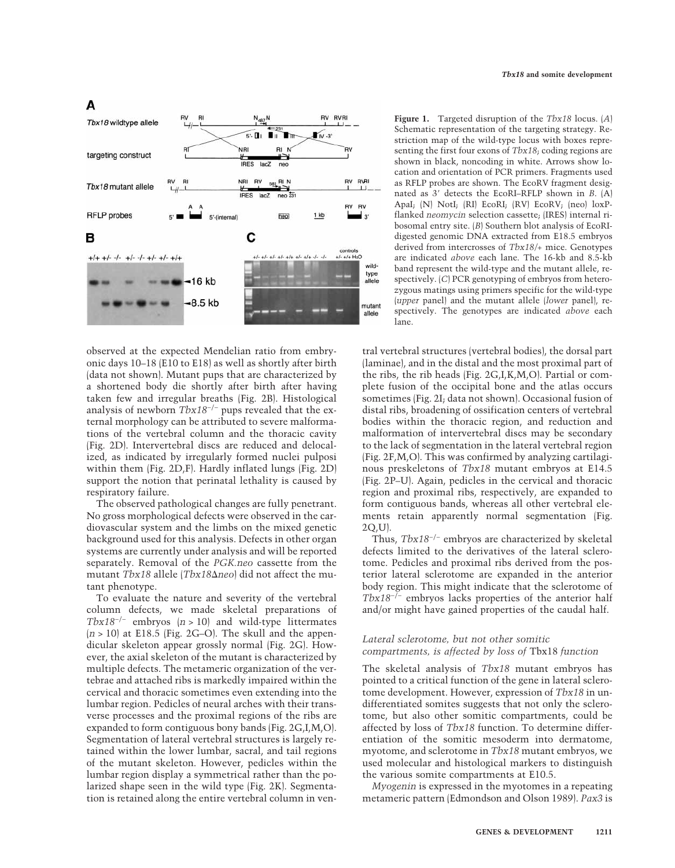

observed at the expected Mendelian ratio from embryonic days 10–18 (E10 to E18) as well as shortly after birth (data not shown). Mutant pups that are characterized by a shortened body die shortly after birth after having taken few and irregular breaths (Fig. 2B). Histological analysis of newborn *Tbx18*−/− pups revealed that the external morphology can be attributed to severe malformations of the vertebral column and the thoracic cavity (Fig. 2D). Intervertebral discs are reduced and delocalized, as indicated by irregularly formed nuclei pulposi within them (Fig. 2D,F). Hardly inflated lungs (Fig. 2D) support the notion that perinatal lethality is caused by respiratory failure.

The observed pathological changes are fully penetrant. No gross morphological defects were observed in the cardiovascular system and the limbs on the mixed genetic background used for this analysis. Defects in other organ systems are currently under analysis and will be reported separately. Removal of the *PGK.neo* cassette from the mutant *Tbx18* allele (*Tbx18*-*neo*) did not affect the mutant phenotype.

To evaluate the nature and severity of the vertebral column defects, we made skeletal preparations of *Tbx18*−/− embryos (*n* > 10) and wild-type littermates  $(n > 10)$  at E18.5 (Fig. 2G–O). The skull and the appendicular skeleton appear grossly normal (Fig. 2G). However, the axial skeleton of the mutant is characterized by multiple defects. The metameric organization of the vertebrae and attached ribs is markedly impaired within the cervical and thoracic sometimes even extending into the lumbar region. Pedicles of neural arches with their transverse processes and the proximal regions of the ribs are expanded to form contiguous bony bands (Fig. 2G,I,M,O). Segmentation of lateral vertebral structures is largely retained within the lower lumbar, sacral, and tail regions of the mutant skeleton. However, pedicles within the lumbar region display a symmetrical rather than the polarized shape seen in the wild type (Fig. 2K). Segmentation is retained along the entire vertebral column in ven**Figure 1.** Targeted disruption of the *Tbx18* locus. (*A*) Schematic representation of the targeting strategy. Restriction map of the wild-type locus with boxes representing the first four exons of *Tbx18*; coding regions are shown in black, noncoding in white. Arrows show location and orientation of PCR primers. Fragments used as RFLP probes are shown. The EcoRV fragment designated as 3' detects the EcoRI–RFLP shown in *B*. (A) ApaI; (N) NotI; (RI) EcoRI; (RV) EcoRV; (neo) loxPflanked *neomycin* selection cassette; (IRES) internal ribosomal entry site. (*B*) Southern blot analysis of EcoRIdigested genomic DNA extracted from E18.5 embryos derived from intercrosses of *Tbx18/+* mice. Genotypes are indicated *above* each lane. The 16-kb and 8.5-kb band represent the wild-type and the mutant allele, respectively. (*C*) PCR genotyping of embryos from heterozygous matings using primers specific for the wild-type (*upper* panel) and the mutant allele (*lower* panel), respectively. The genotypes are indicated *above* each lane.

tral vertebral structures (vertebral bodies), the dorsal part (laminae), and in the distal and the most proximal part of the ribs, the rib heads (Fig. 2G,I,K,M,O). Partial or complete fusion of the occipital bone and the atlas occurs sometimes (Fig. 2I; data not shown). Occasional fusion of distal ribs, broadening of ossification centers of vertebral bodies within the thoracic region, and reduction and malformation of intervertebral discs may be secondary to the lack of segmentation in the lateral vertebral region (Fig. 2F,M,O). This was confirmed by analyzing cartilaginous preskeletons of *Tbx18* mutant embryos at E14.5 (Fig. 2P–U). Again, pedicles in the cervical and thoracic region and proximal ribs, respectively, are expanded to form contiguous bands, whereas all other vertebral elements retain apparently normal segmentation (Fig. 2Q,U).

Thus, *Tbx18*−/− embryos are characterized by skeletal defects limited to the derivatives of the lateral sclerotome. Pedicles and proximal ribs derived from the posterior lateral sclerotome are expanded in the anterior body region. This might indicate that the sclerotome of *Tbx18*−/− embryos lacks properties of the anterior half and/or might have gained properties of the caudal half.

# *Lateral sclerotome, but not other somitic compartments, is affected by loss of* Tbx18 *function*

The skeletal analysis of *Tbx18* mutant embryos has pointed to a critical function of the gene in lateral sclerotome development. However, expression of *Tbx18* in undifferentiated somites suggests that not only the sclerotome, but also other somitic compartments, could be affected by loss of *Tbx18* function. To determine differentiation of the somitic mesoderm into dermatome, myotome, and sclerotome in *Tbx18* mutant embryos, we used molecular and histological markers to distinguish the various somite compartments at E10.5.

*Myogenin* is expressed in the myotomes in a repeating metameric pattern (Edmondson and Olson 1989). *Pax3* is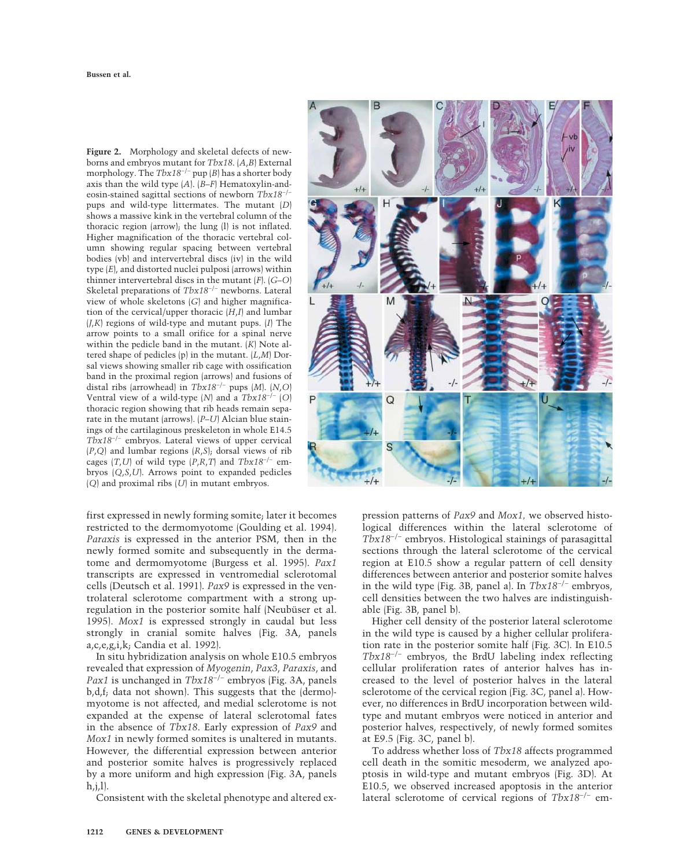**Figure 2.** Morphology and skeletal defects of newborns and embryos mutant for *Tbx18*. (*A*,*B*) External morphology. The *Tbx18*−/− pup (*B*) has a shorter body axis than the wild type (*A*). (*B*–*F*) Hematoxylin-andeosin-stained sagittal sections of newborn *Tbx18*−/− pups and wild-type littermates. The mutant (*D*) shows a massive kink in the vertebral column of the thoracic region (arrow); the lung (l) is not inflated. Higher magnification of the thoracic vertebral column showing regular spacing between vertebral bodies (vb) and intervertebral discs (iv) in the wild type (*E*), and distorted nuclei pulposi (arrows) within thinner intervertebral discs in the mutant (*F*). (*G*–*O*) Skeletal preparations of *Tbx18*−/− newborns. Lateral view of whole skeletons (*G*) and higher magnification of the cervical/upper thoracic (*H*,*I*) and lumbar (*J*,*K*) regions of wild-type and mutant pups. (*I*) The arrow points to a small orifice for a spinal nerve within the pedicle band in the mutant. (*K*) Note altered shape of pedicles (p) in the mutant. (*L*,*M*) Dorsal views showing smaller rib cage with ossification band in the proximal region (arrows) and fusions of distal ribs (arrowhead) in *Tbx18*−/− pups (*M*). (*N*,*O*) Ventral view of a wild-type (*N*) and a *Tbx18*−/− (*O*) thoracic region showing that rib heads remain separate in the mutant (arrows). (*P*–*U*) Alcian blue stainings of the cartilaginous preskeleton in whole E14.5 *Tbx18*−/− embryos. Lateral views of upper cervical (*P*,*Q*) and lumbar regions (*R*,*S*); dorsal views of rib cages (*T*,*U*) of wild type (*P*,*R*,*T*) and  $Tbx18^{-/-}$  embryos (*Q*,*S*,*U*). Arrows point to expanded pedicles (*Q*) and proximal ribs (*U*) in mutant embryos.

first expressed in newly forming somite; later it becomes restricted to the dermomyotome (Goulding et al. 1994). *Paraxis* is expressed in the anterior PSM, then in the newly formed somite and subsequently in the dermatome and dermomyotome (Burgess et al. 1995). *Pax1* transcripts are expressed in ventromedial sclerotomal cells (Deutsch et al. 1991). *Pax9* is expressed in the ventrolateral sclerotome compartment with a strong upregulation in the posterior somite half (Neubüser et al. 1995). *Mox1* is expressed strongly in caudal but less strongly in cranial somite halves (Fig. 3A, panels a,c,e,g,i,k; Candia et al. 1992).

In situ hybridization analysis on whole E10.5 embryos revealed that expression of *Myogenin*, *Pax3*, *Paraxis*, and *Pax1* is unchanged in *Tbx18*−/− embryos (Fig. 3A, panels b,d,f; data not shown). This suggests that the (dermo) myotome is not affected, and medial sclerotome is not expanded at the expense of lateral sclerotomal fates in the absence of *Tbx18*. Early expression of *Pax9* and *Mox1* in newly formed somites is unaltered in mutants. However, the differential expression between anterior and posterior somite halves is progressively replaced by a more uniform and high expression (Fig. 3A, panels  $h,j,l$ ).

Consistent with the skeletal phenotype and altered ex-



pression patterns of *Pax9* and *Mox1,* we observed histological differences within the lateral sclerotome of *Tbx18*−/− embryos. Histological stainings of parasagittal sections through the lateral sclerotome of the cervical region at E10.5 show a regular pattern of cell density differences between anterior and posterior somite halves in the wild type (Fig. 3B, panel a). In *Tbx18*−/− embryos, cell densities between the two halves are indistinguishable (Fig. 3B, panel b).

Higher cell density of the posterior lateral sclerotome in the wild type is caused by a higher cellular proliferation rate in the posterior somite half (Fig. 3C). In E10.5 *Tbx18*−/− embryos, the BrdU labeling index reflecting cellular proliferation rates of anterior halves has increased to the level of posterior halves in the lateral sclerotome of the cervical region (Fig. 3C, panel a). However, no differences in BrdU incorporation between wildtype and mutant embryos were noticed in anterior and posterior halves, respectively, of newly formed somites at E9.5 (Fig. 3C, panel b).

To address whether loss of *Tbx18* affects programmed cell death in the somitic mesoderm, we analyzed apoptosis in wild-type and mutant embryos (Fig. 3D). At E10.5, we observed increased apoptosis in the anterior lateral sclerotome of cervical regions of *Tbx18*−/− em-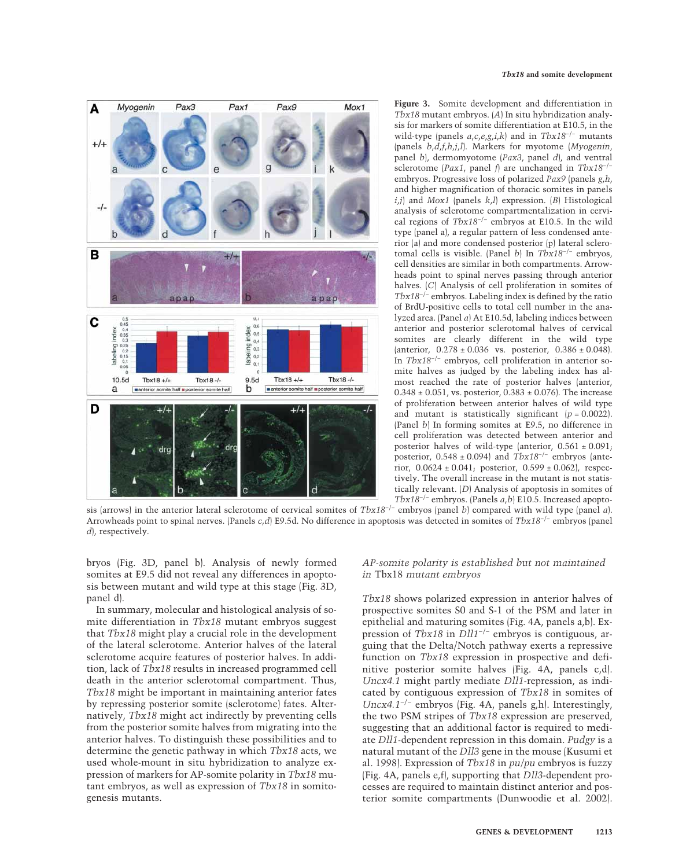

**Figure 3.** Somite development and differentiation in *Tbx18* mutant embryos. (*A*) In situ hybridization analysis for markers of somite differentiation at E10.5, in the wild-type (panels *a*,*c*,*e*,*g*,*i*,*k*) and in *Tbx18*−/− mutants (panels *b*,*d*,*f*,*h*,*j*,*l*). Markers for myotome (*Myogenin*, panel *b*), dermomyotome (*Pax3*, panel *d*), and ventral sclerotome (*Pax1*, panel *f*) are unchanged in *Tbx18*−/− embryos. Progressive loss of polarized *Pax9* (panels *g*,*h*, and higher magnification of thoracic somites in panels *i*,*j*) and *Mox1* (panels *k*,*l*) expression. (*B*) Histological analysis of sclerotome compartmentalization in cervical regions of *Tbx18*−/− embryos at E10.5. In the wild type (panel a), a regular pattern of less condensed anterior (a) and more condensed posterior (p) lateral sclerotomal cells is visible. (Panel *b*) In *Tbx18*−/− embryos, cell densities are similar in both compartments. Arrowheads point to spinal nerves passing through anterior halves. (*C*) Analysis of cell proliferation in somites of *Tbx18*−/− embryos. Labeling index is defined by the ratio of BrdU-positive cells to total cell number in the analyzed area. (Panel *a*) At E10.5d, labeling indices between anterior and posterior sclerotomal halves of cervical somites are clearly different in the wild type (anterior,  $0.278 \pm 0.036$  vs. posterior,  $0.386 \pm 0.048$ ). In *Tbx18*−/− embryos, cell proliferation in anterior somite halves as judged by the labeling index has almost reached the rate of posterior halves (anterior,  $0.348 \pm 0.051$ , vs. posterior,  $0.383 \pm 0.076$ ). The increase of proliferation between anterior halves of wild type and mutant is statistically significant  $(p = 0.0022)$ . (Panel *b*) In forming somites at E9.5, no difference in cell proliferation was detected between anterior and posterior halves of wild-type (anterior,  $0.561 \pm 0.091$ ; posterior, 0.548 ± 0.094) and *Tbx18*−/− embryos (anterior,  $0.0624 \pm 0.041$ ; posterior,  $0.599 \pm 0.062$ ), respectively. The overall increase in the mutant is not statistically relevant. (*D*) Analysis of apoptosis in somites of *Tbx18*−/− embryos. (Panels *a*,*b*) E10.5. Increased apopto-

sis (arrows) in the anterior lateral sclerotome of cervical somites of *Tbx18*−/− embryos (panel *b*) compared with wild type (panel *a*). Arrowheads point to spinal nerves. (Panels *c*,*d*) E9.5d. No difference in apoptosis was detected in somites of *Tbx18*−/− embryos (panel *d*), respectively.

bryos (Fig. 3D, panel b). Analysis of newly formed somites at E9.5 did not reveal any differences in apoptosis between mutant and wild type at this stage (Fig. 3D, panel d).

In summary, molecular and histological analysis of somite differentiation in *Tbx18* mutant embryos suggest that *Tbx18* might play a crucial role in the development of the lateral sclerotome. Anterior halves of the lateral sclerotome acquire features of posterior halves. In addition, lack of *Tbx18* results in increased programmed cell death in the anterior sclerotomal compartment. Thus, *Tbx18* might be important in maintaining anterior fates by repressing posterior somite (sclerotome) fates. Alternatively, *Tbx18* might act indirectly by preventing cells from the posterior somite halves from migrating into the anterior halves. To distinguish these possibilities and to determine the genetic pathway in which *Tbx18* acts, we used whole-mount in situ hybridization to analyze expression of markers for AP-somite polarity in *Tbx18* mutant embryos, as well as expression of *Tbx18* in somitogenesis mutants.

## *AP-somite polarity is established but not maintained in* Tbx18 *mutant embryos*

*Tbx18* shows polarized expression in anterior halves of prospective somites S0 and S-1 of the PSM and later in epithelial and maturing somites (Fig. 4A, panels a,b). Expression of *Tbx18* in *Dll1*−/− embryos is contiguous, arguing that the Delta/Notch pathway exerts a repressive function on *Tbx18* expression in prospective and definitive posterior somite halves (Fig. 4A, panels c,d). *Uncx4.1* might partly mediate *Dll1*-repression, as indicated by contiguous expression of *Tbx18* in somites of *Uncx4.1*−/− embryos (Fig. 4A, panels g,h). Interestingly, the two PSM stripes of *Tbx18* expression are preserved, suggesting that an additional factor is required to mediate *Dll1*-dependent repression in this domain. *Pudgy* is a natural mutant of the *Dll3* gene in the mouse (Kusumi et al. 1998). Expression of *Tbx18* in *pu/pu* embryos is fuzzy (Fig. 4A, panels e,f), supporting that *Dll3*-dependent processes are required to maintain distinct anterior and posterior somite compartments (Dunwoodie et al. 2002).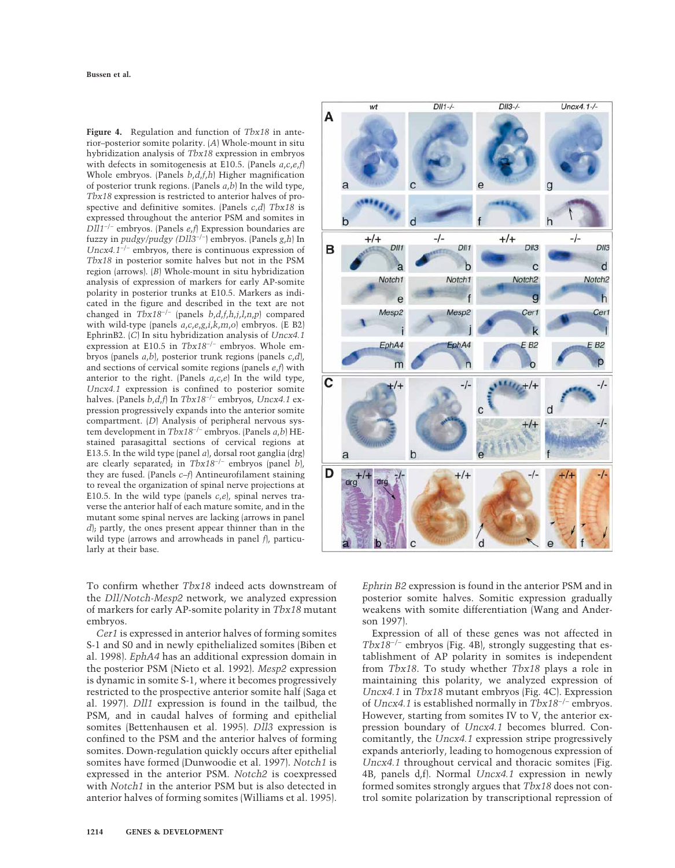**Figure 4.** Regulation and function of *Tbx18* in anterior–posterior somite polarity. (*A*) Whole-mount in situ hybridization analysis of *Tbx18* expression in embryos with defects in somitogenesis at E10.5. (Panels *a*,*c*,*e*,*f*) Whole embryos. (Panels *b*,*d*,*f*,*h*) Higher magnification of posterior trunk regions. (Panels *a*,*b*) In the wild type, *Tbx18* expression is restricted to anterior halves of prospective and definitive somites. (Panels *c*,*d*) *Tbx18* is expressed throughout the anterior PSM and somites in *Dll1*−/− embryos. (Panels *e*,*f*) Expression boundaries are fuzzy in *pudgy/pudgy (Dll3*−/−) embryos. (Panels *g*,*h*) In *Uncx4.1*−/− embryos, there is continuous expression of *Tbx18* in posterior somite halves but not in the PSM region (arrows). (*B*) Whole-mount in situ hybridization analysis of expression of markers for early AP-somite polarity in posterior trunks at E10.5. Markers as indicated in the figure and described in the text are not changed in *Tbx18*−/− (panels *b*,*d*,*f*,*h*,*j*,*l*,*n*,*p*) compared with wild-type (panels *a*,*c*,*e*,*g*,*i*,*k*,*m*,*o*) embryos. (E B2) EphrinB2. (*C*) In situ hybridization analysis of *Uncx4.1* expression at E10.5 in *Tbx18*−/− embryos. Whole embryos (panels *a*,*b*), posterior trunk regions (panels *c*,*d*), and sections of cervical somite regions (panels *e*,*f*) with anterior to the right. (Panels *a*,*c*,*e*) In the wild type, *Uncx4.1* expression is confined to posterior somite halves. (Panels *b*,*d*,*f*) In *Tbx18*−/− embryos, *Uncx4.1* expression progressively expands into the anterior somite compartment. (*D*) Analysis of peripheral nervous system development in *Tbx18*−/− embryos. (Panels *a*,*b*) HEstained parasagittal sections of cervical regions at E13.5. In the wild type (panel *a*), dorsal root ganglia (drg) are clearly separated; in *Tbx18*−/− embryos (panel *b*), they are fused. (Panels *c–f*) Antineurofilament staining to reveal the organization of spinal nerve projections at E10.5. In the wild type (panels *c*,*e*), spinal nerves traverse the anterior half of each mature somite, and in the mutant some spinal nerves are lacking (arrows in panel *d*); partly, the ones present appear thinner than in the wild type (arrows and arrowheads in panel *f*), particularly at their base.

To confirm whether *Tbx18* indeed acts downstream of the *Dll/Notch-Mesp2* network, we analyzed expression of markers for early AP-somite polarity in *Tbx18* mutant embryos.

*Cer1* is expressed in anterior halves of forming somites S-1 and S0 and in newly epithelialized somites (Biben et al. 1998). *EphA4* has an additional expression domain in the posterior PSM (Nieto et al. 1992). *Mesp2* expression is dynamic in somite S-1, where it becomes progressively restricted to the prospective anterior somite half (Saga et al. 1997). *Dll1* expression is found in the tailbud, the PSM, and in caudal halves of forming and epithelial somites (Bettenhausen et al. 1995). *Dll3* expression is confined to the PSM and the anterior halves of forming somites. Down-regulation quickly occurs after epithelial somites have formed (Dunwoodie et al. 1997). *Notch1* is expressed in the anterior PSM. *Notch2* is coexpressed with *Notch1* in the anterior PSM but is also detected in anterior halves of forming somites (Williams et al. 1995).



*Ephrin B2* expression is found in the anterior PSM and in posterior somite halves. Somitic expression gradually weakens with somite differentiation (Wang and Anderson 1997).

Expression of all of these genes was not affected in *Tbx18*−/− embryos (Fig. 4B), strongly suggesting that establishment of AP polarity in somites is independent from *Tbx18*. To study whether *Tbx18* plays a role in maintaining this polarity, we analyzed expression of *Uncx4.1* in *Tbx18* mutant embryos (Fig. 4C). Expression of *Uncx4.1* is established normally in *Tbx18*−/− embryos. However, starting from somites IV to V, the anterior expression boundary of *Uncx4.1* becomes blurred. Concomitantly, the *Uncx4.1* expression stripe progressively expands anteriorly, leading to homogenous expression of *Uncx4.1* throughout cervical and thoracic somites (Fig. 4B, panels d,f). Normal *Uncx4.1* expression in newly formed somites strongly argues that *Tbx18* does not control somite polarization by transcriptional repression of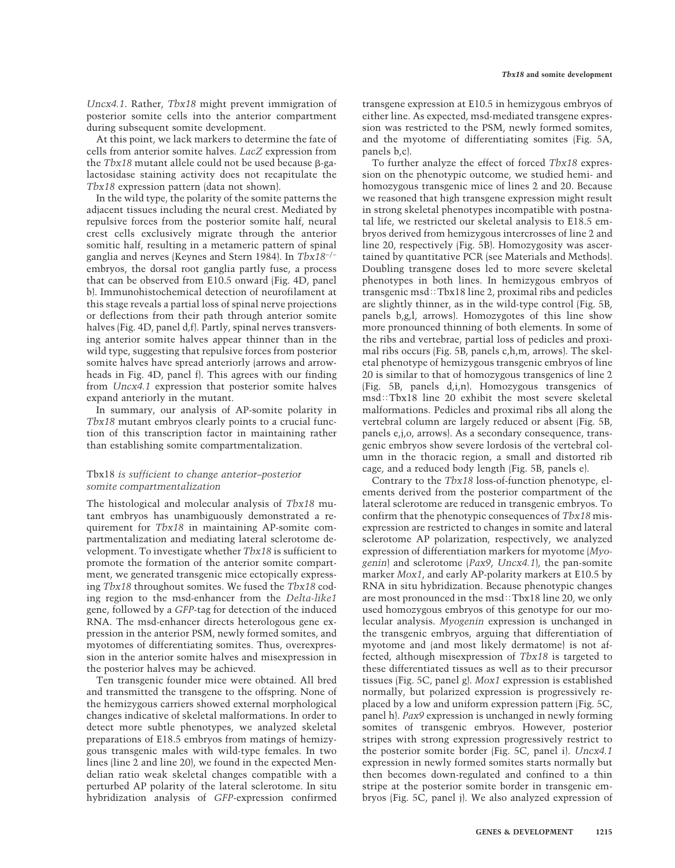*Uncx4.1*. Rather, *Tbx18* might prevent immigration of posterior somite cells into the anterior compartment during subsequent somite development.

At this point, we lack markers to determine the fate of cells from anterior somite halves. *LacZ* expression from the  $Tbx18$  mutant allele could not be used because  $\beta$ -galactosidase staining activity does not recapitulate the *Tbx18* expression pattern (data not shown).

In the wild type, the polarity of the somite patterns the adjacent tissues including the neural crest. Mediated by repulsive forces from the posterior somite half, neural crest cells exclusively migrate through the anterior somitic half, resulting in a metameric pattern of spinal ganglia and nerves (Keynes and Stern 1984). In *Tbx18*−/− embryos, the dorsal root ganglia partly fuse, a process that can be observed from E10.5 onward (Fig. 4D, panel b). Immunohistochemical detection of neurofilament at this stage reveals a partial loss of spinal nerve projections or deflections from their path through anterior somite halves (Fig. 4D, panel d,f). Partly, spinal nerves transversing anterior somite halves appear thinner than in the wild type, suggesting that repulsive forces from posterior somite halves have spread anteriorly (arrows and arrowheads in Fig. 4D, panel f). This agrees with our finding from *Uncx4.1* expression that posterior somite halves expand anteriorly in the mutant.

In summary, our analysis of AP-somite polarity in *Tbx18* mutant embryos clearly points to a crucial function of this transcription factor in maintaining rather than establishing somite compartmentalization.

## Tbx18 *is sufficient to change anterior–posterior somite compartmentalization*

The histological and molecular analysis of *Tbx18* mutant embryos has unambiguously demonstrated a requirement for *Tbx18* in maintaining AP-somite compartmentalization and mediating lateral sclerotome development. To investigate whether *Tbx18* is sufficient to promote the formation of the anterior somite compartment, we generated transgenic mice ectopically expressing *Tbx18* throughout somites. We fused the *Tbx18* coding region to the msd-enhancer from the *Delta-like1* gene, followed by a *GFP*-tag for detection of the induced RNA. The msd-enhancer directs heterologous gene expression in the anterior PSM, newly formed somites, and myotomes of differentiating somites. Thus, overexpression in the anterior somite halves and misexpression in the posterior halves may be achieved.

Ten transgenic founder mice were obtained. All bred and transmitted the transgene to the offspring. None of the hemizygous carriers showed external morphological changes indicative of skeletal malformations. In order to detect more subtle phenotypes, we analyzed skeletal preparations of E18.5 embryos from matings of hemizygous transgenic males with wild-type females. In two lines (line 2 and line 20), we found in the expected Mendelian ratio weak skeletal changes compatible with a perturbed AP polarity of the lateral sclerotome. In situ hybridization analysis of *GFP*-expression confirmed

transgene expression at E10.5 in hemizygous embryos of either line. As expected, msd-mediated transgene expression was restricted to the PSM, newly formed somites, and the myotome of differentiating somites (Fig. 5A, panels b,c).

To further analyze the effect of forced *Tbx18* expression on the phenotypic outcome, we studied hemi- and homozygous transgenic mice of lines 2 and 20. Because we reasoned that high transgene expression might result in strong skeletal phenotypes incompatible with postnatal life, we restricted our skeletal analysis to E18.5 embryos derived from hemizygous intercrosses of line 2 and line 20, respectively (Fig. 5B). Homozygosity was ascertained by quantitative PCR (see Materials and Methods). Doubling transgene doses led to more severe skeletal phenotypes in both lines. In hemizygous embryos of transgenic msd: $Tbx18$  line 2, proximal ribs and pedicles are slightly thinner, as in the wild-type control (Fig. 5B, panels b,g,l, arrows). Homozygotes of this line show more pronounced thinning of both elements. In some of the ribs and vertebrae, partial loss of pedicles and proximal ribs occurs (Fig. 5B, panels c,h,m, arrows). The skeletal phenotype of hemizygous transgenic embryos of line 20 is similar to that of homozygous transgenics of line 2 (Fig. 5B, panels d,i,n). Homozygous transgenics of msd::Tbx18 line 20 exhibit the most severe skeletal malformations. Pedicles and proximal ribs all along the vertebral column are largely reduced or absent (Fig. 5B, panels e,j,o, arrows). As a secondary consequence, transgenic embryos show severe lordosis of the vertebral column in the thoracic region, a small and distorted rib cage, and a reduced body length (Fig. 5B, panels e).

Contrary to the *Tbx18* loss-of-function phenotype, elements derived from the posterior compartment of the lateral sclerotome are reduced in transgenic embryos. To confirm that the phenotypic consequences of *Tbx18* misexpression are restricted to changes in somite and lateral sclerotome AP polarization, respectively, we analyzed expression of differentiation markers for myotome (*Myogenin*) and sclerotome (*Pax9*, *Uncx4.1*), the pan-somite marker *Mox1*, and early AP-polarity markers at E10.5 by RNA in situ hybridization. Because phenotypic changes are most pronounced in the msd: Tbx18 line 20, we only used homozygous embryos of this genotype for our molecular analysis. *Myogenin* expression is unchanged in the transgenic embryos, arguing that differentiation of myotome and (and most likely dermatome) is not affected, although misexpression of *Tbx18* is targeted to these differentiated tissues as well as to their precursor tissues (Fig. 5C, panel g). *Mox1* expression is established normally, but polarized expression is progressively replaced by a low and uniform expression pattern (Fig. 5C, panel h). *Pax9* expression is unchanged in newly forming somites of transgenic embryos. However, posterior stripes with strong expression progressively restrict to the posterior somite border (Fig. 5C, panel i). *Uncx4.1* expression in newly formed somites starts normally but then becomes down-regulated and confined to a thin stripe at the posterior somite border in transgenic embryos (Fig. 5C, panel j). We also analyzed expression of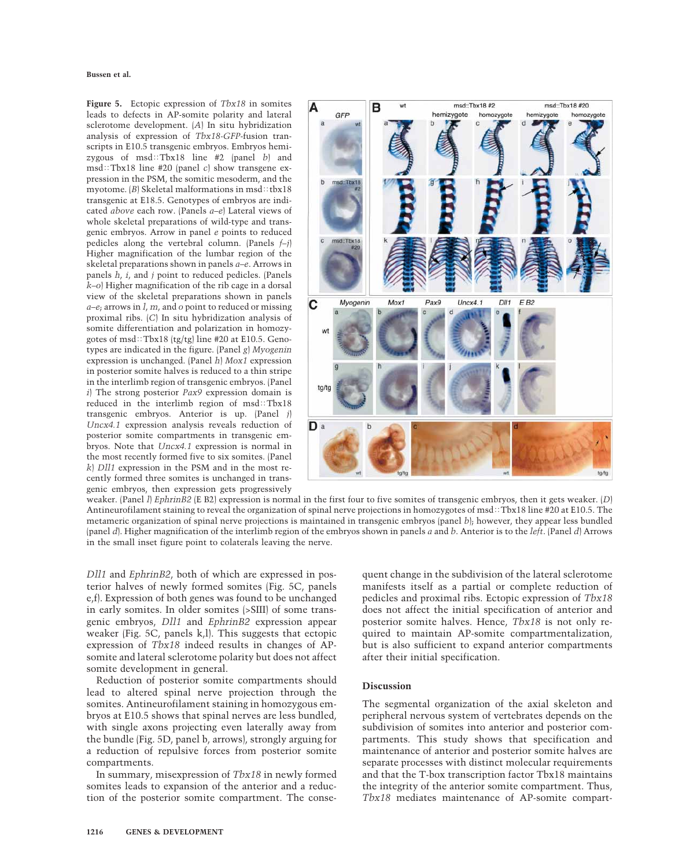**Figure 5.** Ectopic expression of *Tbx18* in somites leads to defects in AP-somite polarity and lateral sclerotome development. (*A*) In situ hybridization analysis of expression of *Tbx18-GFP*-fusion transcripts in E10.5 transgenic embryos. Embryos hemizygous of msd:Tbx18 line #2 (panel *b*) and  $msd::Tbx18$  line #20 (panel *c*) show transgene expression in the PSM, the somitic mesoderm, and the myotome.  $\langle B \rangle$  Skeletal malformations in msd::tbx18 transgenic at E18.5. Genotypes of embryos are indicated *above* each row. (Panels *a–e*) Lateral views of whole skeletal preparations of wild-type and transgenic embryos. Arrow in panel *e* points to reduced pedicles along the vertebral column. (Panels *f–j*) Higher magnification of the lumbar region of the skeletal preparations shown in panels *a–e*. Arrows in panels *h*, *i*, and *j* point to reduced pedicles. (Panels *k–o*) Higher magnification of the rib cage in a dorsal view of the skeletal preparations shown in panels *a–e*; arrows in *l*, *m*, and *o* point to reduced or missing proximal ribs. (*C*) In situ hybridization analysis of somite differentiation and polarization in homozygotes of msd::Tbx18 (tg/tg) line #20 at E10.5. Genotypes are indicated in the figure. (Panel *g*) *Myogenin* expression is unchanged. (Panel *h*) *Mox1* expression in posterior somite halves is reduced to a thin stripe in the interlimb region of transgenic embryos. (Panel *i*) The strong posterior *Pax9* expression domain is reduced in the interlimb region of  $msd::Tbx18$ transgenic embryos. Anterior is up. (Panel *j*) *Uncx4.1* expression analysis reveals reduction of posterior somite compartments in transgenic embryos. Note that *Uncx4.1* expression is normal in the most recently formed five to six somites. (Panel *k*) *Dll1* expression in the PSM and in the most recently formed three somites is unchanged in transgenic embryos, then expression gets progressively



weaker. (Panel *l*) *EphrinB2* (E B2) expression is normal in the first four to five somites of transgenic embryos, then it gets weaker. (*D*) Antineurofilament staining to reveal the organization of spinal nerve projections in homozygotes of msd: Tbx18 line #20 at E10.5. The metameric organization of spinal nerve projections is maintained in transgenic embryos (panel *b*); however, they appear less bundled (panel *d*). Higher magnification of the interlimb region of the embryos shown in panels *a* and *b*. Anterior is to the *left*. (Panel *d*) Arrows in the small inset figure point to colaterals leaving the nerve.

*Dll1* and *EphrinB2*, both of which are expressed in posterior halves of newly formed somites (Fig. 5C, panels e,f). Expression of both genes was found to be unchanged in early somites. In older somites (>SIII) of some transgenic embryos, *Dll1* and *EphrinB2* expression appear weaker (Fig. 5C, panels k,l). This suggests that ectopic expression of *Tbx18* indeed results in changes of APsomite and lateral sclerotome polarity but does not affect somite development in general.

Reduction of posterior somite compartments should lead to altered spinal nerve projection through the somites. Antineurofilament staining in homozygous embryos at E10.5 shows that spinal nerves are less bundled, with single axons projecting even laterally away from the bundle (Fig. 5D, panel b, arrows), strongly arguing for a reduction of repulsive forces from posterior somite compartments.

In summary, misexpression of *Tbx18* in newly formed somites leads to expansion of the anterior and a reduction of the posterior somite compartment. The conse-

quent change in the subdivision of the lateral sclerotome manifests itself as a partial or complete reduction of pedicles and proximal ribs. Ectopic expression of *Tbx18* does not affect the initial specification of anterior and posterior somite halves. Hence, *Tbx18* is not only required to maintain AP-somite compartmentalization, but is also sufficient to expand anterior compartments after their initial specification.

# **Discussion**

The segmental organization of the axial skeleton and peripheral nervous system of vertebrates depends on the subdivision of somites into anterior and posterior compartments. This study shows that specification and maintenance of anterior and posterior somite halves are separate processes with distinct molecular requirements and that the T-box transcription factor Tbx18 maintains the integrity of the anterior somite compartment. Thus, *Tbx18* mediates maintenance of AP-somite compart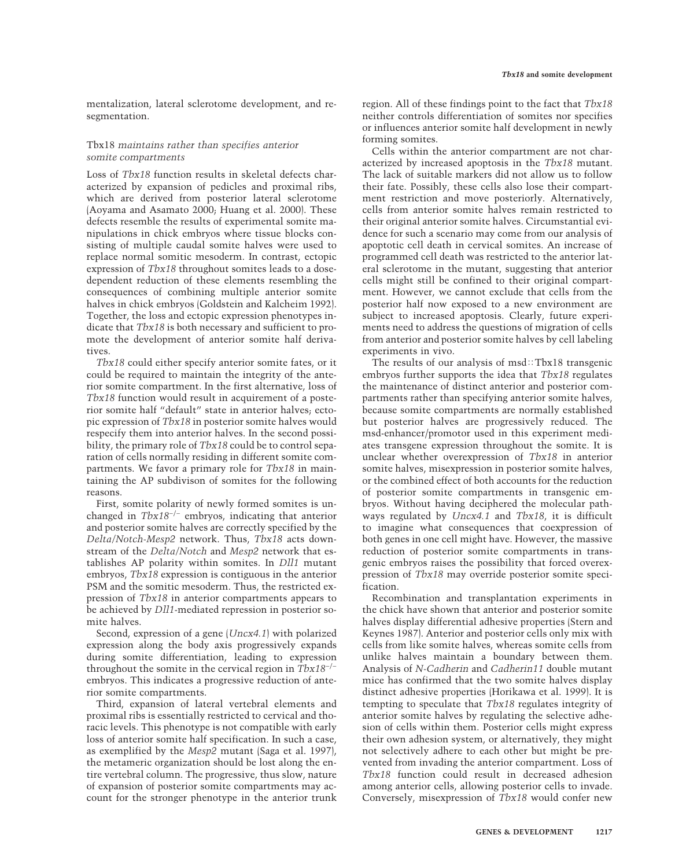mentalization, lateral sclerotome development, and resegmentation.

# Tbx18 *maintains rather than specifies anterior somite compartments*

Loss of *Tbx18* function results in skeletal defects characterized by expansion of pedicles and proximal ribs, which are derived from posterior lateral sclerotome (Aoyama and Asamato 2000; Huang et al. 2000). These defects resemble the results of experimental somite manipulations in chick embryos where tissue blocks consisting of multiple caudal somite halves were used to replace normal somitic mesoderm. In contrast, ectopic expression of *Tbx18* throughout somites leads to a dosedependent reduction of these elements resembling the consequences of combining multiple anterior somite halves in chick embryos (Goldstein and Kalcheim 1992). Together, the loss and ectopic expression phenotypes indicate that *Tbx18* is both necessary and sufficient to promote the development of anterior somite half derivatives.

*Tbx18* could either specify anterior somite fates, or it could be required to maintain the integrity of the anterior somite compartment. In the first alternative, loss of *Tbx18* function would result in acquirement of a posterior somite half "default" state in anterior halves; ectopic expression of *Tbx18* in posterior somite halves would respecify them into anterior halves. In the second possibility, the primary role of *Tbx18* could be to control separation of cells normally residing in different somite compartments. We favor a primary role for *Tbx18* in maintaining the AP subdivison of somites for the following reasons.

First, somite polarity of newly formed somites is unchanged in *Tbx18*−/− embryos, indicating that anterior and posterior somite halves are correctly specified by the *Delta/Notch-Mesp2* network. Thus, *Tbx18* acts downstream of the *Delta/Notch* and *Mesp2* network that establishes AP polarity within somites. In *Dll1* mutant embryos, *Tbx18* expression is contiguous in the anterior PSM and the somitic mesoderm. Thus, the restricted expression of *Tbx18* in anterior compartments appears to be achieved by *Dll1*-mediated repression in posterior somite halves.

Second, expression of a gene (*Uncx4.1*) with polarized expression along the body axis progressively expands during somite differentiation, leading to expression throughout the somite in the cervical region in *Tbx18*−/− embryos. This indicates a progressive reduction of anterior somite compartments.

Third, expansion of lateral vertebral elements and proximal ribs is essentially restricted to cervical and thoracic levels. This phenotype is not compatible with early loss of anterior somite half specification. In such a case, as exemplified by the *Mesp2* mutant (Saga et al. 1997), the metameric organization should be lost along the entire vertebral column. The progressive, thus slow, nature of expansion of posterior somite compartments may account for the stronger phenotype in the anterior trunk

region. All of these findings point to the fact that *Tbx18* neither controls differentiation of somites nor specifies or influences anterior somite half development in newly forming somites.

Cells within the anterior compartment are not characterized by increased apoptosis in the *Tbx18* mutant. The lack of suitable markers did not allow us to follow their fate. Possibly, these cells also lose their compartment restriction and move posteriorly. Alternatively, cells from anterior somite halves remain restricted to their original anterior somite halves. Circumstantial evidence for such a scenario may come from our analysis of apoptotic cell death in cervical somites. An increase of programmed cell death was restricted to the anterior lateral sclerotome in the mutant, suggesting that anterior cells might still be confined to their original compartment. However, we cannot exclude that cells from the posterior half now exposed to a new environment are subject to increased apoptosis. Clearly, future experiments need to address the questions of migration of cells from anterior and posterior somite halves by cell labeling experiments in vivo.

The results of our analysis of  $msd::Tbx18$  transgenic embryos further supports the idea that *Tbx18* regulates the maintenance of distinct anterior and posterior compartments rather than specifying anterior somite halves, because somite compartments are normally established but posterior halves are progressively reduced. The msd-enhancer/promotor used in this experiment mediates transgene expression throughout the somite. It is unclear whether overexpression of *Tbx18* in anterior somite halves, misexpression in posterior somite halves, or the combined effect of both accounts for the reduction of posterior somite compartments in transgenic embryos. Without having deciphered the molecular pathways regulated by *Uncx4.1* and *Tbx18*, it is difficult to imagine what consequences that coexpression of both genes in one cell might have. However, the massive reduction of posterior somite compartments in transgenic embryos raises the possibility that forced overexpression of *Tbx18* may override posterior somite specification.

Recombination and transplantation experiments in the chick have shown that anterior and posterior somite halves display differential adhesive properties (Stern and Keynes 1987). Anterior and posterior cells only mix with cells from like somite halves, whereas somite cells from unlike halves maintain a boundary between them. Analysis of *N-Cadherin* and *Cadherin11* double mutant mice has confirmed that the two somite halves display distinct adhesive properties (Horikawa et al. 1999). It is tempting to speculate that *Tbx18* regulates integrity of anterior somite halves by regulating the selective adhesion of cells within them. Posterior cells might express their own adhesion system, or alternatively, they might not selectively adhere to each other but might be prevented from invading the anterior compartment. Loss of *Tbx18* function could result in decreased adhesion among anterior cells, allowing posterior cells to invade. Conversely, misexpression of *Tbx18* would confer new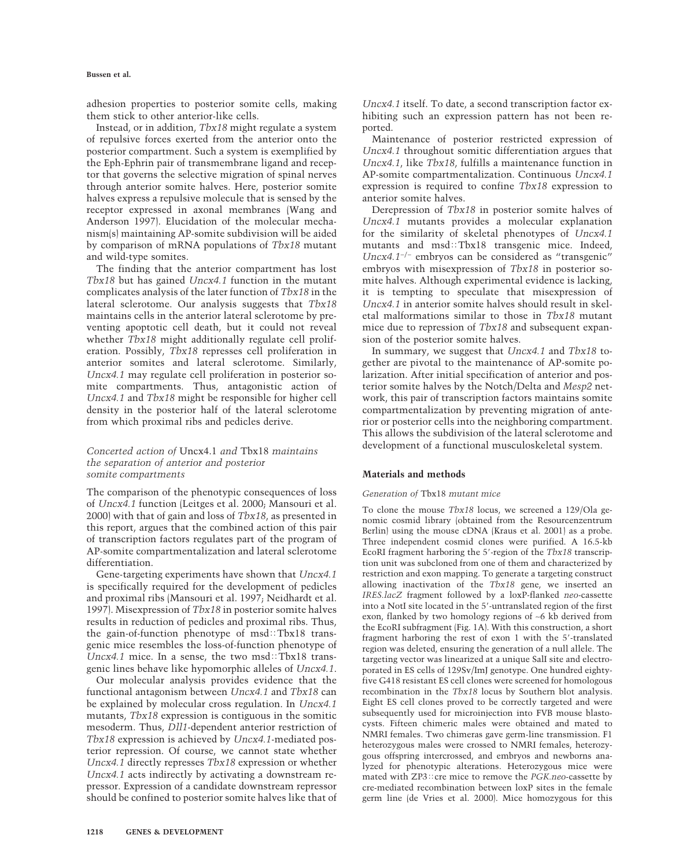adhesion properties to posterior somite cells, making them stick to other anterior-like cells.

Instead, or in addition, *Tbx18* might regulate a system of repulsive forces exerted from the anterior onto the posterior compartment. Such a system is exemplified by the Eph-Ephrin pair of transmembrane ligand and receptor that governs the selective migration of spinal nerves through anterior somite halves. Here, posterior somite halves express a repulsive molecule that is sensed by the receptor expressed in axonal membranes (Wang and Anderson 1997). Elucidation of the molecular mechanism(s) maintaining AP-somite subdivision will be aided by comparison of mRNA populations of *Tbx18* mutant and wild-type somites.

The finding that the anterior compartment has lost *Tbx18* but has gained *Uncx4.1* function in the mutant complicates analysis of the later function of *Tbx18* in the lateral sclerotome. Our analysis suggests that *Tbx18* maintains cells in the anterior lateral sclerotome by preventing apoptotic cell death, but it could not reveal whether *Tbx18* might additionally regulate cell proliferation. Possibly, *Tbx18* represses cell proliferation in anterior somites and lateral sclerotome. Similarly, *Uncx4.1* may regulate cell proliferation in posterior somite compartments. Thus, antagonistic action of *Uncx4.1* and *Tbx18* might be responsible for higher cell density in the posterior half of the lateral sclerotome from which proximal ribs and pedicles derive.

# *Concerted action of* Uncx4.1 *and* Tbx18 *maintains the separation of anterior and posterior somite compartments*

The comparison of the phenotypic consequences of loss of *Uncx4.1* function (Leitges et al. 2000; Mansouri et al. 2000) with that of gain and loss of *Tbx18*, as presented in this report, argues that the combined action of this pair of transcription factors regulates part of the program of AP-somite compartmentalization and lateral sclerotome differentiation.

Gene-targeting experiments have shown that *Uncx4.1* is specifically required for the development of pedicles and proximal ribs (Mansouri et al. 1997; Neidhardt et al. 1997). Misexpression of *Tbx18* in posterior somite halves results in reduction of pedicles and proximal ribs. Thus, the gain-of-function phenotype of  $msd::Tbx18$  transgenic mice resembles the loss-of-function phenotype of *Uncx4.1* mice. In a sense, the two msd: Tbx18 transgenic lines behave like hypomorphic alleles of *Uncx4.1*.

Our molecular analysis provides evidence that the functional antagonism between *Uncx4.1* and *Tbx18* can be explained by molecular cross regulation. In *Uncx4.1* mutants, *Tbx18* expression is contiguous in the somitic mesoderm. Thus, *Dll1*-dependent anterior restriction of *Tbx18* expression is achieved by *Uncx4.1*-mediated posterior repression. Of course, we cannot state whether *Uncx4.1* directly represses *Tbx18* expression or whether *Uncx4.1* acts indirectly by activating a downstream repressor. Expression of a candidate downstream repressor should be confined to posterior somite halves like that of

*Uncx4.1* itself. To date, a second transcription factor exhibiting such an expression pattern has not been reported.

Maintenance of posterior restricted expression of *Uncx4.1* throughout somitic differentiation argues that *Uncx4.1*, like *Tbx18*, fulfills a maintenance function in AP-somite compartmentalization. Continuous *Uncx4.1* expression is required to confine *Tbx18* expression to anterior somite halves.

Derepression of *Tbx18* in posterior somite halves of *Uncx4.1* mutants provides a molecular explanation for the similarity of skeletal phenotypes of *Uncx4.1* mutants and msd:Tbx18 transgenic mice. Indeed, *Uncx4.1*−/− embryos can be considered as "transgenic" embryos with misexpression of *Tbx18* in posterior somite halves. Although experimental evidence is lacking, it is tempting to speculate that misexpression of *Uncx4.1* in anterior somite halves should result in skeletal malformations similar to those in *Tbx18* mutant mice due to repression of *Tbx18* and subsequent expansion of the posterior somite halves.

In summary, we suggest that *Uncx4.1* and *Tbx18* together are pivotal to the maintenance of AP-somite polarization. After initial specification of anterior and posterior somite halves by the Notch/Delta and *Mesp2* network, this pair of transcription factors maintains somite compartmentalization by preventing migration of anterior or posterior cells into the neighboring compartment. This allows the subdivision of the lateral sclerotome and development of a functional musculoskeletal system.

## **Materials and methods**

## *Generation of* Tbx18 *mutant mice*

To clone the mouse *Tbx18* locus, we screened a 129/Ola genomic cosmid library (obtained from the Resourcenzentrum Berlin) using the mouse cDNA (Kraus et al. 2001) as a probe. Three independent cosmid clones were purified. A 16.5-kb EcoRI fragment harboring the 5'-region of the *Tbx18* transcription unit was subcloned from one of them and characterized by restriction and exon mapping. To generate a targeting construct allowing inactivation of the *Tbx18* gene, we inserted an *IRES.lacZ* fragment followed by a loxP-flanked *neo*-cassette into a NotI site located in the 5-untranslated region of the first exon, flanked by two homology regions of ∼6 kb derived from the EcoRI subfragment (Fig. 1A). With this construction, a short fragment harboring the rest of exon 1 with the 5-translated region was deleted, ensuring the generation of a null allele. The targeting vector was linearized at a unique SalI site and electroporated in ES cells of 129Sv/ImJ genotype. One hundred eightyfive G418 resistant ES cell clones were screened for homologous recombination in the *Tbx18* locus by Southern blot analysis. Eight ES cell clones proved to be correctly targeted and were subsequently used for microinjection into FVB mouse blastocysts. Fifteen chimeric males were obtained and mated to NMRI females. Two chimeras gave germ-line transmission. F1 heterozygous males were crossed to NMRI females, heterozygous offspring intercrossed, and embryos and newborns analyzed for phenotypic alterations. Heterozygous mice were mated with ZP3:: cre mice to remove the *PGK.neo*-cassette by cre-mediated recombination between loxP sites in the female germ line (de Vries et al. 2000). Mice homozygous for this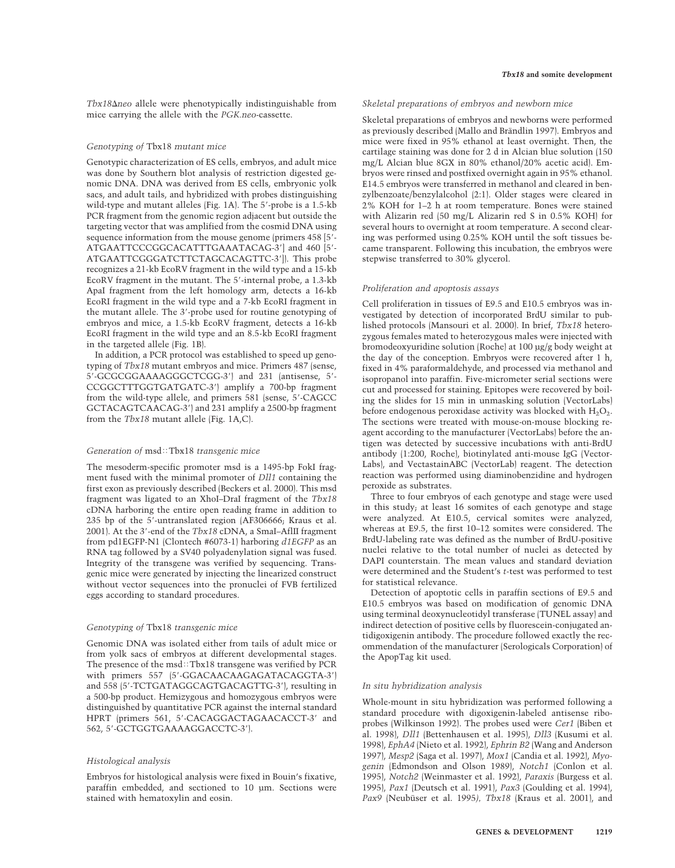*Tbx18*-*neo* allele were phenotypically indistinguishable from mice carrying the allele with the *PGK.neo*-cassette.

#### *Genotyping of* Tbx18 *mutant mice*

Genotypic characterization of ES cells, embryos, and adult mice was done by Southern blot analysis of restriction digested genomic DNA. DNA was derived from ES cells, embryonic yolk sacs, and adult tails, and hybridized with probes distinguishing wild-type and mutant alleles (Fig. 1A). The 5'-probe is a 1.5-kb PCR fragment from the genomic region adjacent but outside the targeting vector that was amplified from the cosmid DNA using sequence information from the mouse genome (primers 458 [5'-ATGAATTCCCGGCACATTTGAAATACAG-3] and 460 [5- ATGAATTCGGGATCTTCTAGCACAGTTC-3]). This probe recognizes a 21-kb EcoRV fragment in the wild type and a 15-kb EcoRV fragment in the mutant. The 5'-internal probe, a 1.3-kb ApaI fragment from the left homology arm, detects a 16-kb EcoRI fragment in the wild type and a 7-kb EcoRI fragment in the mutant allele. The 3'-probe used for routine genotyping of embryos and mice, a 1.5-kb EcoRV fragment, detects a 16-kb EcoRI fragment in the wild type and an 8.5-kb EcoRI fragment in the targeted allele (Fig. 1B).

In addition, a PCR protocol was established to speed up genotyping of *Tbx18* mutant embryos and mice. Primers 487 (sense, 5-GCGCGGAAAAGGGCTCGG-3) and 231 (antisense, 5- CCGGCTTTGGTGATGATC-3) amplify a 700-bp fragment from the wild-type allele, and primers 581 (sense, 5-CAGCC GCTACAGTCAACAG-3) and 231 amplify a 2500-bp fragment from the *Tbx18* mutant allele (Fig. 1A,C).

#### *Generation of* msd::Tbx18 *transgenic mice*

The mesoderm-specific promoter msd is a 1495-bp FokI fragment fused with the minimal promoter of *Dll1* containing the first exon as previously described (Beckers et al. 2000). This msd fragment was ligated to an XhoI–DraI fragment of the *Tbx18* cDNA harboring the entire open reading frame in addition to 235 bp of the 5'-untranslated region (AF306666; Kraus et al. 2001). At the 3-end of the *Tbx18* cDNA, a SmaI–AflII fragment from pd1EGFP-N1 (Clontech #6073-1) harboring *d1EGFP* as an RNA tag followed by a SV40 polyadenylation signal was fused. Integrity of the transgene was verified by sequencing. Transgenic mice were generated by injecting the linearized construct without vector sequences into the pronuclei of FVB fertilized eggs according to standard procedures.

## *Genotyping of* Tbx18 *transgenic mice*

Genomic DNA was isolated either from tails of adult mice or from yolk sacs of embryos at different developmental stages. The presence of the msd: $Tbx18$  transgene was verified by PCR with primers 557 (5'-GGACAACAAGAGATACAGGTA-3') and 558 (5-TCTGATAGGCAGTGACAGTTG-3), resulting in a 500-bp product. Hemizygous and homozygous embryos were distinguished by quantitative PCR against the internal standard HPRT (primers 561, 5'-CACAGGACTAGAACACCT-3' and 562, 5-GCTGGTGAAAAGGACCTC-3).

## *Histological analysis*

Embryos for histological analysis were fixed in Bouin's fixative, paraffin embedded, and sectioned to 10 µm. Sections were stained with hematoxylin and eosin.

#### *Skeletal preparations of embryos and newborn mice*

Skeletal preparations of embryos and newborns were performed as previously described (Mallo and Brändlin 1997). Embryos and mice were fixed in 95% ethanol at least overnight. Then, the cartilage staining was done for 2 d in Alcian blue solution (150 mg/L Alcian blue 8GX in 80% ethanol/20% acetic acid). Embryos were rinsed and postfixed overnight again in 95% ethanol. E14.5 embryos were transferred in methanol and cleared in benzylbenzoate/benzylalcohol (2:1). Older stages were cleared in 2% KOH for 1–2 h at room temperature. Bones were stained with Alizarin red (50 mg/L Alizarin red S in 0.5% KOH) for several hours to overnight at room temperature. A second clearing was performed using 0.25% KOH until the soft tissues became transparent. Following this incubation, the embryos were stepwise transferred to 30% glycerol.

#### *Proliferation and apoptosis assays*

Cell proliferation in tissues of E9.5 and E10.5 embryos was investigated by detection of incorporated BrdU similar to published protocols (Mansouri et al. 2000). In brief, *Tbx18* heterozygous females mated to heterozygous males were injected with bromodeoxyuridine solution (Roche) at 100 µg/g body weight at the day of the conception. Embryos were recovered after 1 h, fixed in 4% paraformaldehyde, and processed via methanol and isopropanol into paraffin. Five-micrometer serial sections were cut and processed for staining. Epitopes were recovered by boiling the slides for 15 min in unmasking solution (VectorLabs) before endogenous peroxidase activity was blocked with  $H_2O_2$ . The sections were treated with mouse-on-mouse blocking reagent according to the manufacturer (VectorLabs) before the antigen was detected by successive incubations with anti-BrdU antibody (1:200, Roche), biotinylated anti-mouse IgG (Vector-Labs), and VectastainABC (VectorLab) reagent. The detection reaction was performed using diaminobenzidine and hydrogen peroxide as substrates.

Three to four embryos of each genotype and stage were used in this study; at least 16 somites of each genotype and stage were analyzed. At E10.5, cervical somites were analyzed, whereas at E9.5, the first 10–12 somites were considered. The BrdU-labeling rate was defined as the number of BrdU-positive nuclei relative to the total number of nuclei as detected by DAPI counterstain. The mean values and standard deviation were determined and the Student's *t*-test was performed to test for statistical relevance.

Detection of apoptotic cells in paraffin sections of E9.5 and E10.5 embryos was based on modification of genomic DNA using terminal deoxynucleotidyl transferase (TUNEL assay) and indirect detection of positive cells by fluorescein-conjugated antidigoxigenin antibody. The procedure followed exactly the recommendation of the manufacturer (Serologicals Corporation) of the ApopTag kit used.

## *In situ hybridization analysis*

Whole-mount in situ hybridization was performed following a standard procedure with digoxigenin-labeled antisense riboprobes (Wilkinson 1992). The probes used were *Cer1* (Biben et al. 1998), *Dll1* (Bettenhausen et al. 1995), *Dll3* (Kusumi et al. 1998), *EphA4* (Nieto et al. 1992), *Ephrin B2* (Wang and Anderson 1997), *Mesp2* (Saga et al. 1997), *Mox1* (Candia et al. 1992), *Myogenin* (Edmondson and Olson 1989), *Notch1* (Conlon et al. 1995), *Notch2* (Weinmaster et al. 1992), *Paraxis* (Burgess et al. 1995), *Pax1* (Deutsch et al. 1991), *Pax3* (Goulding et al. 1994), *Pax9* (Neubüser et al. 1995*), Tbx18* (Kraus et al. 2001), and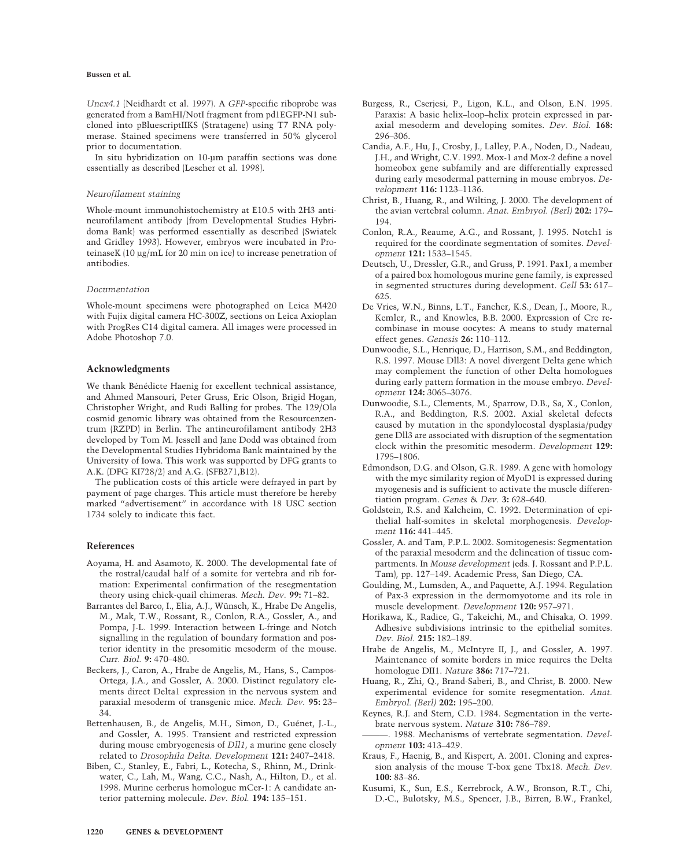*Uncx4.1* (Neidhardt et al. 1997). A *GFP*-specific riboprobe was generated from a BamHI/NotI fragment from pd1EGFP-N1 subcloned into pBluescriptIIKS (Stratagene) using T7 RNA polymerase. Stained specimens were transferred in 50% glycerol prior to documentation.

In situ hybridization on 10-µm paraffin sections was done essentially as described (Lescher et al. 1998).

#### *Neurofilament staining*

Whole-mount immunohistochemistry at E10.5 with 2H3 antineurofilament antibody (from Developmental Studies Hybridoma Bank) was performed essentially as described (Swiatek and Gridley 1993). However, embryos were incubated in ProteinaseK (10 µg/mL for 20 min on ice) to increase penetration of antibodies.

#### *Documentation*

Whole-mount specimens were photographed on Leica M420 with Fujix digital camera HC-300Z, sections on Leica Axioplan with ProgRes C14 digital camera. All images were processed in Adobe Photoshop 7.0.

## **Acknowledgments**

We thank Bénédicte Haenig for excellent technical assistance, and Ahmed Mansouri, Peter Gruss, Eric Olson, Brigid Hogan, Christopher Wright, and Rudi Balling for probes. The 129/Ola cosmid genomic library was obtained from the Resourcenzentrum (RZPD) in Berlin. The antineurofilament antibody 2H3 developed by Tom M. Jessell and Jane Dodd was obtained from the Developmental Studies Hybridoma Bank maintained by the University of Iowa. This work was supported by DFG grants to A.K. (DFG KI728/2) and A.G. (SFB271,B12).

The publication costs of this article were defrayed in part by payment of page charges. This article must therefore be hereby marked "advertisement" in accordance with 18 USC section 1734 solely to indicate this fact.

#### **References**

- Aoyama, H. and Asamoto, K. 2000. The developmental fate of the rostral/caudal half of a somite for vertebra and rib formation: Experimental confirmation of the resegmentation theory using chick-quail chimeras. *Mech. Dev.* **99:** 71–82.
- Barrantes del Barco, I., Elia, A.J., Wünsch, K., Hrabe De Angelis, M., Mak, T.W., Rossant, R., Conlon, R.A., Gossler, A., and Pompa, J-L. 1999. Interaction between L-fringe and Notch signalling in the regulation of boundary formation and posterior identity in the presomitic mesoderm of the mouse. *Curr. Biol.* **9:** 470–480.
- Beckers, J., Caron, A., Hrabe de Angelis, M., Hans, S., Campos-Ortega, J.A., and Gossler, A. 2000. Distinct regulatory elements direct Delta1 expression in the nervous system and paraxial mesoderm of transgenic mice. *Mech. Dev.* **95:** 23– 34.
- Bettenhausen, B., de Angelis, M.H., Simon, D., Guénet, J.-L., and Gossler, A. 1995. Transient and restricted expression during mouse embryogenesis of *Dll1*, a murine gene closely related to *Drosophila Delta*. *Development* **121:** 2407–2418.
- Biben, C., Stanley, E., Fabri, L., Kotecha, S., Rhinn, M., Drinkwater, C., Lah, M., Wang, C.C., Nash, A., Hilton, D., et al. 1998. Murine cerberus homologue mCer-1: A candidate anterior patterning molecule. *Dev. Biol.* **194:** 135–151.
- Burgess, R., Cserjesi, P., Ligon, K.L., and Olson, E.N. 1995. Paraxis: A basic helix–loop–helix protein expressed in paraxial mesoderm and developing somites. *Dev. Biol.* **168:** 296–306.
- Candia, A.F., Hu, J., Crosby, J., Lalley, P.A., Noden, D., Nadeau, J.H., and Wright, C.V. 1992. Mox-1 and Mox-2 define a novel homeobox gene subfamily and are differentially expressed during early mesodermal patterning in mouse embryos. *Development* **116:** 1123–1136.
- Christ, B., Huang, R., and Wilting, J. 2000. The development of the avian vertebral column. *Anat. Embryol. (Berl)* **202:** 179– 194.
- Conlon, R.A., Reaume, A.G., and Rossant, J. 1995. Notch1 is required for the coordinate segmentation of somites. *Development* **121:** 1533–1545.
- Deutsch, U., Dressler, G.R., and Gruss, P. 1991. Pax1, a member of a paired box homologous murine gene family, is expressed in segmented structures during development. *Cell* **53:** 617– 625.
- De Vries, W.N., Binns, L.T., Fancher, K.S., Dean, J., Moore, R., Kemler, R., and Knowles, B.B. 2000. Expression of Cre recombinase in mouse oocytes: A means to study maternal effect genes. *Genesis* **26:** 110–112.
- Dunwoodie, S.L., Henrique, D., Harrison, S.M., and Beddington, R.S. 1997. Mouse Dll3: A novel divergent Delta gene which may complement the function of other Delta homologues during early pattern formation in the mouse embryo. *Development* **124:** 3065–3076.
- Dunwoodie, S.L., Clements, M., Sparrow, D.B., Sa, X., Conlon, R.A., and Beddington, R.S. 2002. Axial skeletal defects caused by mutation in the spondylocostal dysplasia/pudgy gene Dll3 are associated with disruption of the segmentation clock within the presomitic mesoderm. *Development* **129:** 1795–1806.
- Edmondson, D.G. and Olson, G.R. 1989. A gene with homology with the myc similarity region of MyoD1 is expressed during myogenesis and is sufficient to activate the muscle differentiation program. *Genes* & *Dev.* **3:** 628–640.
- Goldstein, R.S. and Kalcheim, C. 1992. Determination of epithelial half-somites in skeletal morphogenesis. *Development* **116:** 441–445.
- Gossler, A. and Tam, P.P.L. 2002. Somitogenesis: Segmentation of the paraxial mesoderm and the delineation of tissue compartments. In *Mouse development* (eds. J. Rossant and P.P.L. Tam), pp. 127–149. Academic Press, San Diego, CA.
- Goulding, M., Lumsden, A., and Paquette, A.J. 1994. Regulation of Pax-3 expression in the dermomyotome and its role in muscle development. *Development* **120:** 957–971.
- Horikawa, K., Radice, G., Takeichi, M., and Chisaka, O. 1999. Adhesive subdivisions intrinsic to the epithelial somites. *Dev. Biol.* **215:** 182–189.
- Hrabe de Angelis, M., McIntyre II, J., and Gossler, A. 1997. Maintenance of somite borders in mice requires the Delta homologue DII1. *Nature* **386:** 717–721.
- Huang, R., Zhi, Q., Brand-Saberi, B., and Christ, B. 2000. New experimental evidence for somite resegmentation. *Anat. Embryol. (Berl)* **202:** 195–200.
- Keynes, R.J. and Stern, C.D. 1984. Segmentation in the vertebrate nervous system. *Nature* **310:** 786–789.
- ———. 1988. Mechanisms of vertebrate segmentation. *Development* **103:** 413–429.
- Kraus, F., Haenig, B., and Kispert, A. 2001. Cloning and expression analysis of the mouse T-box gene Tbx18. *Mech. Dev.* **100:** 83–86.
- Kusumi, K., Sun, E.S., Kerrebrock, A.W., Bronson, R.T., Chi, D.-C., Bulotsky, M.S., Spencer, J.B., Birren, B.W., Frankel,